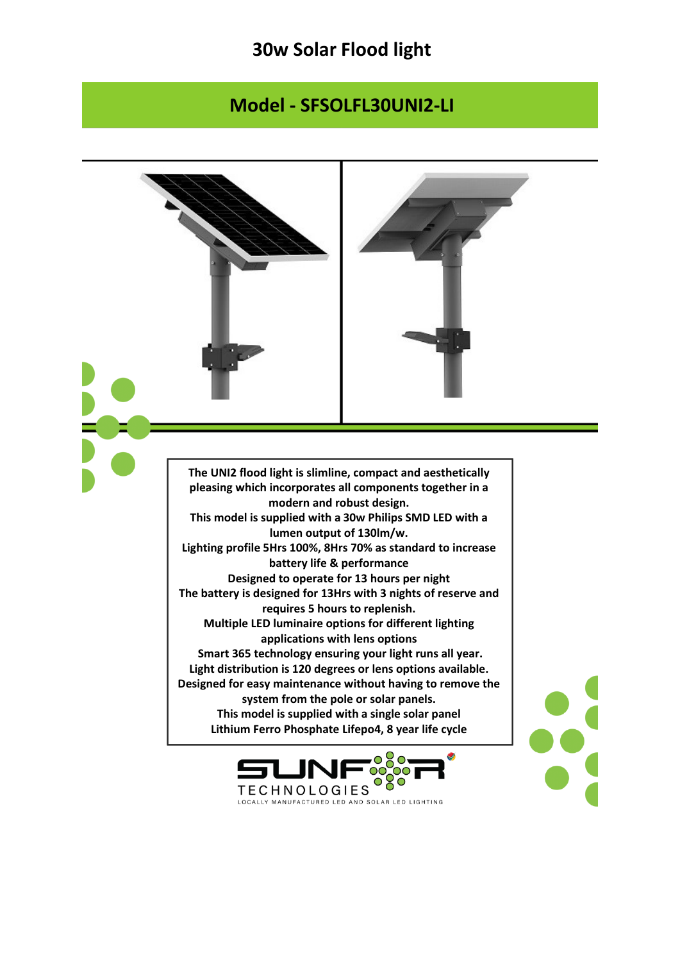## **30w Solar Flood light**

## **Model - SFSOLFL30UNI2-LI**

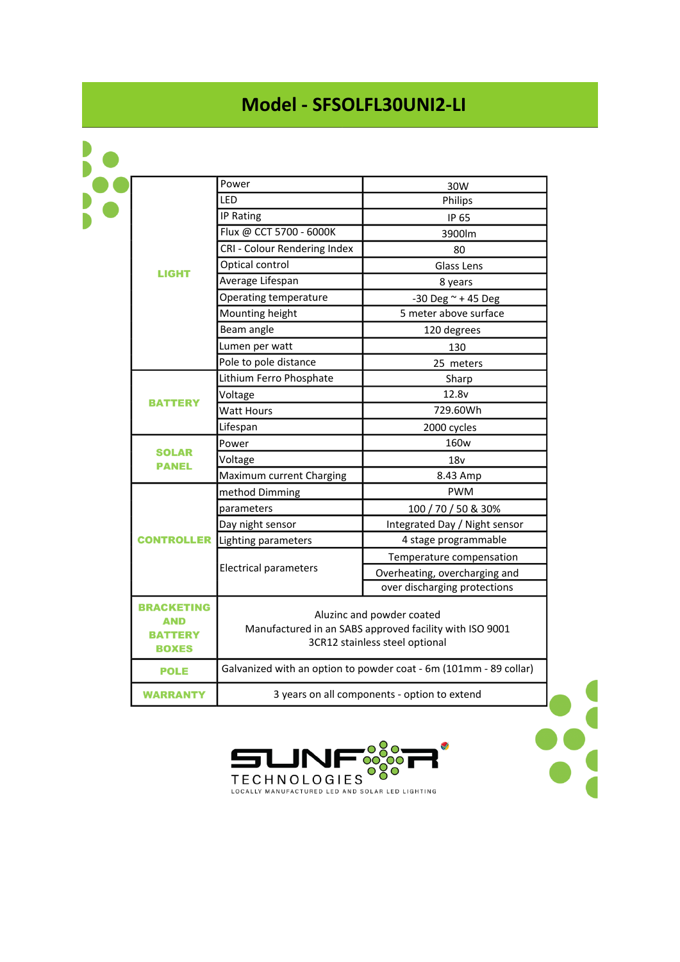## **Model - SFSOLFL30UNI2-LI**

| <b>LIGHT</b>                                        | Power                                                                                                                  | 30W                           |
|-----------------------------------------------------|------------------------------------------------------------------------------------------------------------------------|-------------------------------|
|                                                     | LED                                                                                                                    | Philips                       |
|                                                     | IP Rating                                                                                                              | IP 65                         |
|                                                     | Flux @ CCT 5700 - 6000K                                                                                                | 3900lm                        |
|                                                     | CRI - Colour Rendering Index                                                                                           | 80                            |
|                                                     | Optical control                                                                                                        | Glass Lens                    |
|                                                     | Average Lifespan                                                                                                       | 8 years                       |
|                                                     | Operating temperature                                                                                                  | -30 Deg $\sim$ +45 Deg        |
|                                                     | Mounting height                                                                                                        | 5 meter above surface         |
|                                                     | Beam angle                                                                                                             | 120 degrees                   |
|                                                     | Lumen per watt                                                                                                         | 130                           |
|                                                     | Pole to pole distance                                                                                                  | 25 meters                     |
| BATTERY                                             | Lithium Ferro Phosphate                                                                                                | Sharp                         |
|                                                     | Voltage                                                                                                                | 12.8v                         |
|                                                     | Watt Hours                                                                                                             | 729.60Wh                      |
|                                                     | Lifespan                                                                                                               | 2000 cycles                   |
| <b>SOLAR</b><br>PANEL                               | Power                                                                                                                  | 160 <sub>w</sub>              |
|                                                     | Voltage                                                                                                                | 18 <sub>V</sub>               |
|                                                     | Maximum current Charging                                                                                               | 8.43 Amp                      |
| <b>CONTROLLER</b>                                   | method Dimming                                                                                                         | <b>PWM</b>                    |
|                                                     | parameters                                                                                                             | 100 / 70 / 50 & 30%           |
|                                                     | Day night sensor                                                                                                       | Integrated Day / Night sensor |
|                                                     | Lighting parameters                                                                                                    | 4 stage programmable          |
|                                                     | <b>Electrical parameters</b>                                                                                           | Temperature compensation      |
|                                                     |                                                                                                                        | Overheating, overcharging and |
|                                                     |                                                                                                                        | over discharging protections  |
| <b>BRACKETING</b><br>AND<br>BATTERY<br><b>BOXES</b> | Aluzinc and powder coated<br>Manufactured in an SABS approved facility with ISO 9001<br>3CR12 stainless steel optional |                               |
| <b>POLE</b>                                         | Galvanized with an option to powder coat - 6m (101mm - 89 collar)                                                      |                               |
| <b>WARRANTY</b>                                     | 3 years on all components - option to extend                                                                           |                               |